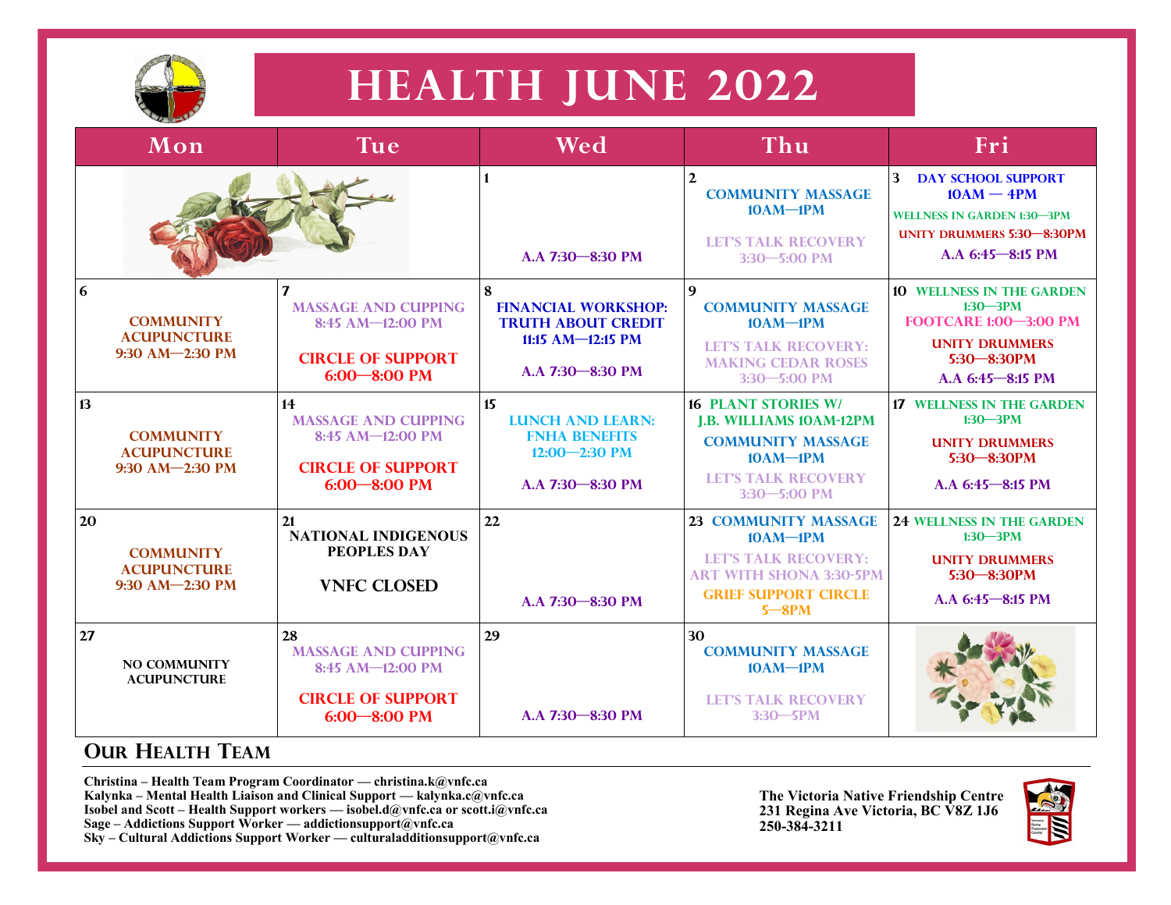

## **HEALTH JUNE 2022**

|    | Mon                                                       | Tue <sup>1</sup>                                                                                                    | Wed                                                                                                       | Thu                                                                                                                                                      | Fri                                                                                                                                               |
|----|-----------------------------------------------------------|---------------------------------------------------------------------------------------------------------------------|-----------------------------------------------------------------------------------------------------------|----------------------------------------------------------------------------------------------------------------------------------------------------------|---------------------------------------------------------------------------------------------------------------------------------------------------|
|    |                                                           |                                                                                                                     | $\blacksquare$<br>A.A 7:30 - 8:30 PM                                                                      | $\mathbf{2}$<br><b>COMMUNITY MASSAGE</b><br>$10AM-1PM$<br><b>LET'S TALK RECOVERY</b><br>$3:30 - 5:00$ PM                                                 | $3 -$<br><b>DAY SCHOOL SUPPORT</b><br>$10AM - 4PM$<br><b>WELLNESS IN GARDEN 1:30-3PM</b><br><b>UNITY DRUMMERS 5:30-8:30PM</b><br>A.A 6:45-8:15 PM |
| 6  | <b>COMMUNITY</b><br><b>ACUPUNCTURE</b><br>9:30 AM-2:30 PM | $\mathbf{7}$<br><b>MASSAGE AND CUPPING</b><br>$8:45$ AM- $12:00$ PM<br><b>CIRCLE OF SUPPORT</b><br>$6:00 - 8:00$ PM | 8<br><b>FINANCIAL WORKSHOP:</b><br><b>TRUTH ABOUT CREDIT</b><br>11:15 AM- $-12:15$ PM<br>A.A 7:30-8:30 PM | 9<br><b>COMMUNITY MASSAGE</b><br>$10AM-1PM$<br><b>LET'S TALK RECOVERY:</b><br><b>MAKING CEDAR ROSES</b><br>3:30-5:00 PM                                  | <b>10 WELLNESS IN THE GARDEN</b><br>$1:30 - 3PM$<br><b>FOOTCARE 1:00-3:00 PM</b><br><b>UNITY DRUMMERS</b><br>$5:30 - 8:30$ PM<br>A.A 6:45-8:15 PM |
| 13 | <b>COMMUNITY</b><br><b>ACUPUNCTURE</b><br>9:30 AM-2:30 PM | 14<br><b>MASSAGE AND CUPPING</b><br>8:45 AM-12:00 PM<br><b>CIRCLE OF SUPPORT</b><br>$6:00 - 8:00$ PM                | 15<br><b>LUNCH AND LEARN:</b><br><b>FNHA BENEFITS</b><br>$12:00 - 2:30$ PM<br>A.A 7:30-8:30 PM            | <b>16 PLANT STORIES W/</b><br><b>I.B. WILLIAMS 10AM-12PM</b><br><b>COMMUNITY MASSAGE</b><br>$10AM-1PM$<br><b>LET'S TALK RECOVERY</b><br>$3:30 - 5:00$ PM | <b>17 WELLNESS IN THE GARDEN</b><br>$1:30 - 3PM$<br><b>UNITY DRUMMERS</b><br>$5:30 - 8:30$ PM<br>A.A 6:45-8:15 PM                                 |
| 20 | <b>COMMUNITY</b><br><b>ACUPUNCTURE</b><br>9:30 AM-2:30 PM | 21<br><b>NATIONAL INDIGENOUS</b><br><b>PEOPLES DAY</b><br><b>VNFC CLOSED</b>                                        | 22<br>A.A 7:30-8:30 PM                                                                                    | 23 COMMUNITY MASSAGE<br>$10AM-1PM$<br><b>LET'S TALK RECOVERY:</b><br><b>ART WITH SHONA 3:30-5PM</b><br><b>GRIEF SUPPORT CIRCLE</b><br>$5 - 8PM$          | <b>24 WELLNESS IN THE GARDEN</b><br>$1:30 - 3PM$<br><b>UNITY DRUMMERS</b><br>$5:30 - 8:30$ PM<br>A.A 6:45-8:15 PM                                 |
| 27 | <b>NO COMMUNITY</b><br><b>ACUPUNCTURE</b>                 | 28<br><b>MASSAGE AND CUPPING</b><br>8:45 AM-12:00 PM<br><b>CIRCLE OF SUPPORT</b><br>$6:00 - 8:00$ PM                | 29<br>A.A 7:30-8:30 PM                                                                                    | 30<br><b>COMMUNITY MASSAGE</b><br>$10AM-1PM$<br><b>LET'S TALK RECOVERY</b><br>$3:30 - 5$ PM                                                              |                                                                                                                                                   |

## **OUR HEALTH TEAM**

**Christina – Health Team Program Coordinator — christina.k@vnfc.ca Kalynka – Mental Health Liaison and Clinical Support — kalynka.c@vnfc.ca Isobel and Scott – Health Support workers — isobel.d@vnfc.ca or scott.i@vnfc.ca Sage – Addictions Support Worker — addictionsupport@vnfc.ca Sky – Cultural Addictions Support Worker — culturaladditionsupport@vnfc.ca** 

**The Victoria Native Friendship Centre 231 Regina Ave Victoria, BC V8Z 1J6 250-384-3211**